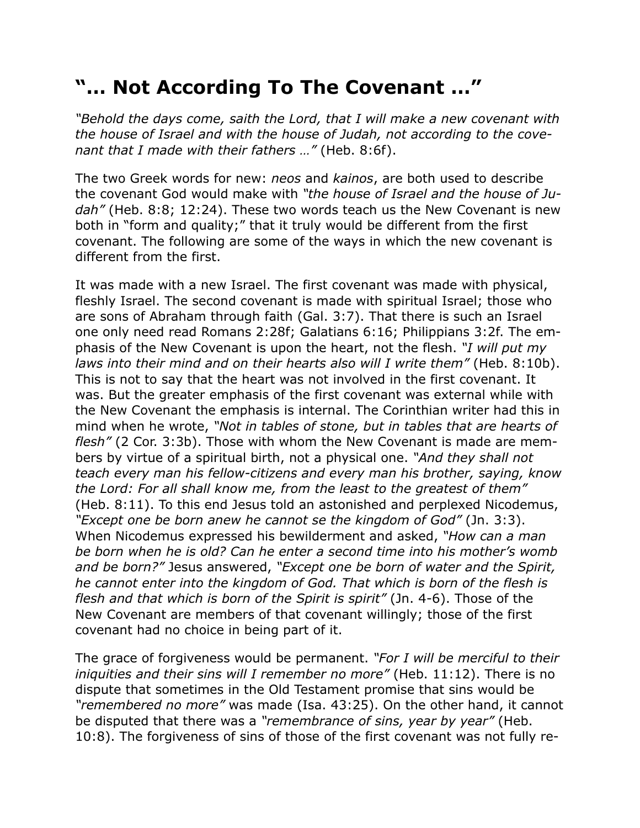## **"… Not According To The Covenant …"**

*"Behold the days come, saith the Lord, that I will make a new covenant with the house of Israel and with the house of Judah, not according to the covenant that I made with their fathers …"* (Heb. 8:6f).

The two Greek words for new: *neos* and *kainos*, are both used to describe the covenant God would make with *"the house of Israel and the house of Judah"* (Heb. 8:8; 12:24). These two words teach us the New Covenant is new both in "form and quality;" that it truly would be different from the first covenant. The following are some of the ways in which the new covenant is different from the first.

It was made with a new Israel. The first covenant was made with physical, fleshly Israel. The second covenant is made with spiritual Israel; those who are sons of Abraham through faith (Gal. 3:7). That there is such an Israel one only need read Romans 2:28f; Galatians 6:16; Philippians 3:2f. The emphasis of the New Covenant is upon the heart, not the flesh. *"I will put my laws into their mind and on their hearts also will I write them"* (Heb. 8:10b). This is not to say that the heart was not involved in the first covenant. It was. But the greater emphasis of the first covenant was external while with the New Covenant the emphasis is internal. The Corinthian writer had this in mind when he wrote, *"Not in tables of stone, but in tables that are hearts of flesh"* (2 Cor. 3:3b). Those with whom the New Covenant is made are members by virtue of a spiritual birth, not a physical one. *"And they shall not teach every man his fellow-citizens and every man his brother, saying, know the Lord: For all shall know me, from the least to the greatest of them"* (Heb. 8:11). To this end Jesus told an astonished and perplexed Nicodemus, *"Except one be born anew he cannot se the kingdom of God"* (Jn. 3:3). When Nicodemus expressed his bewilderment and asked, *"How can a man be born when he is old? Can he enter a second time into his mother's womb and be born?"* Jesus answered, *"Except one be born of water and the Spirit, he cannot enter into the kingdom of God. That which is born of the flesh is flesh and that which is born of the Spirit is spirit"* (Jn. 4-6). Those of the New Covenant are members of that covenant willingly; those of the first covenant had no choice in being part of it.

The grace of forgiveness would be permanent. *"For I will be merciful to their iniquities and their sins will I remember no more"* (Heb. 11:12). There is no dispute that sometimes in the Old Testament promise that sins would be *"remembered no more"* was made (Isa. 43:25). On the other hand, it cannot be disputed that there was a *"remembrance of sins, year by year"* (Heb. 10:8). The forgiveness of sins of those of the first covenant was not fully re-